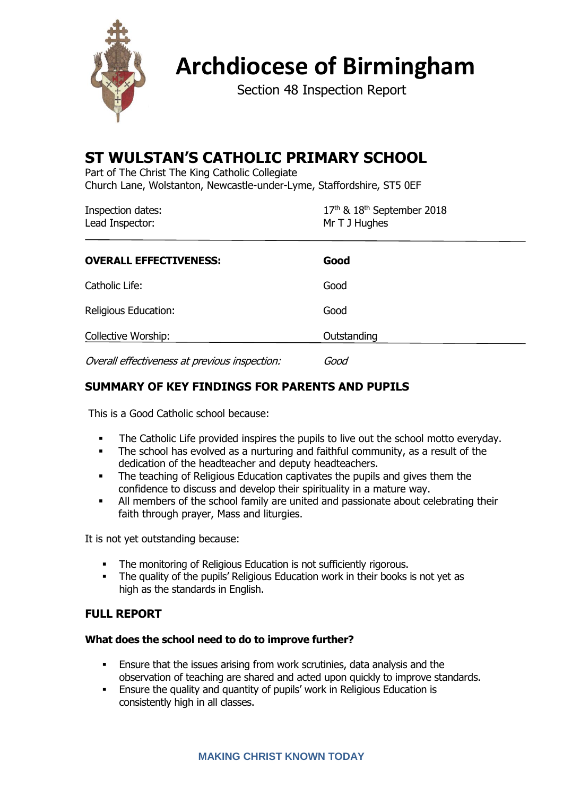

# **Archdiocese of Birmingham**

Section 48 Inspection Report

# **ST WULSTAN'S CATHOLIC PRIMARY SCHOOL**

Part of The Christ The King Catholic Collegiate Church Lane, Wolstanton, Newcastle-under-Lyme, Staffordshire, ST5 0EF

| Inspection dates: | $17th$ & $18th$ September 2018 |  |
|-------------------|--------------------------------|--|
| Lead Inspector:   | Mr T J Hughes                  |  |
|                   |                                |  |

| <b>OVERALL EFFECTIVENESS:</b> | Good        |
|-------------------------------|-------------|
| Catholic Life:                | Good        |
| Religious Education:          | Good        |
| Collective Worship:           | Outstanding |
|                               |             |

Overall effectiveness at previous inspection: Good

# **SUMMARY OF KEY FINDINGS FOR PARENTS AND PUPILS**

This is a Good Catholic school because:

- The Catholic Life provided inspires the pupils to live out the school motto everyday.<br>■ The school has evolved as a nurturing and faithful community as a result of the
- The school has evolved as a nurturing and faithful community, as a result of the dedication of the headteacher and deputy headteachers.
- The teaching of Religious Education captivates the pupils and gives them the confidence to discuss and develop their spirituality in a mature way.
- **•** All members of the school family are united and passionate about celebrating their faith through prayer, Mass and liturgies.

It is not yet outstanding because:

- **•** The monitoring of Religious Education is not sufficiently rigorous.
- The quality of the pupils' Religious Education work in their books is not yet as high as the standards in English.

# **FULL REPORT**

#### **What does the school need to do to improve further?**

- **Ensure that the issues arising from work scrutinies, data analysis and the** observation of teaching are shared and acted upon quickly to improve standards.
- **Ensure the quality and quantity of pupils' work in Religious Education is** consistently high in all classes.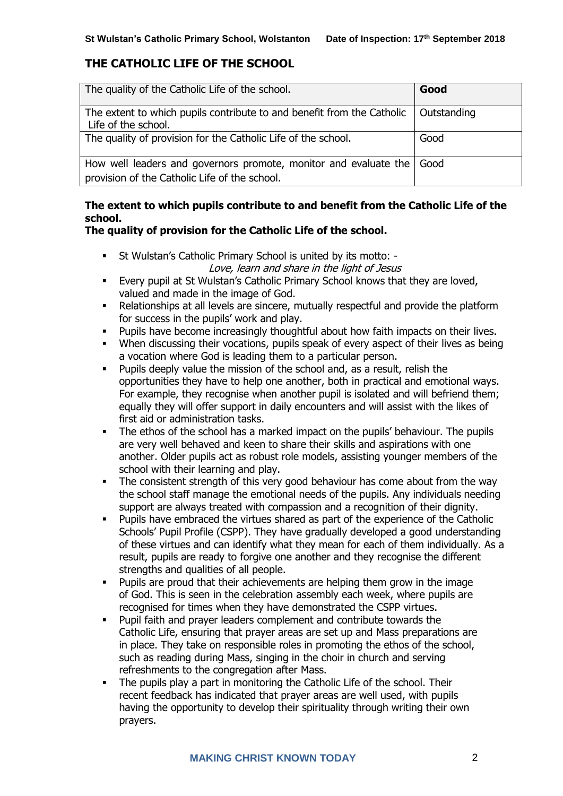# **THE CATHOLIC LIFE OF THE SCHOOL**

| The quality of the Catholic Life of the school.                                                                   | Good        |
|-------------------------------------------------------------------------------------------------------------------|-------------|
| The extent to which pupils contribute to and benefit from the Catholic<br>Life of the school.                     | Outstanding |
| The quality of provision for the Catholic Life of the school.                                                     | Good        |
| How well leaders and governors promote, monitor and evaluate the<br>provision of the Catholic Life of the school. | l Good      |

# **The extent to which pupils contribute to and benefit from the Catholic Life of the school.**

# **The quality of provision for the Catholic Life of the school.**

- St Wulstan's Catholic Primary School is united by its motto: Love, learn and share in the light of Jesus
- Every pupil at St Wulstan's Catholic Primary School knows that they are loved, valued and made in the image of God.
- **EXECT** Relationships at all levels are sincere, mutually respectful and provide the platform for success in the pupils' work and play.
- Pupils have become increasingly thoughtful about how faith impacts on their lives.
- When discussing their vocations, pupils speak of every aspect of their lives as being a vocation where God is leading them to a particular person.
- Pupils deeply value the mission of the school and, as a result, relish the opportunities they have to help one another, both in practical and emotional ways. For example, they recognise when another pupil is isolated and will befriend them; equally they will offer support in daily encounters and will assist with the likes of first aid or administration tasks.
- **•** The ethos of the school has a marked impact on the pupils' behaviour. The pupils are very well behaved and keen to share their skills and aspirations with one another. Older pupils act as robust role models, assisting younger members of the school with their learning and play.
- **EXECT** The consistent strength of this very good behaviour has come about from the way the school staff manage the emotional needs of the pupils. Any individuals needing support are always treated with compassion and a recognition of their dignity.
- Pupils have embraced the virtues shared as part of the experience of the Catholic Schools' Pupil Profile (CSPP). They have gradually developed a good understanding of these virtues and can identify what they mean for each of them individually. As a result, pupils are ready to forgive one another and they recognise the different strengths and qualities of all people.
- Pupils are proud that their achievements are helping them grow in the image of God. This is seen in the celebration assembly each week, where pupils are recognised for times when they have demonstrated the CSPP virtues.
- Pupil faith and prayer leaders complement and contribute towards the Catholic Life, ensuring that prayer areas are set up and Mass preparations are in place. They take on responsible roles in promoting the ethos of the school, such as reading during Mass, singing in the choir in church and serving refreshments to the congregation after Mass.
- The pupils play a part in monitoring the Catholic Life of the school. Their recent feedback has indicated that prayer areas are well used, with pupils having the opportunity to develop their spirituality through writing their own prayers.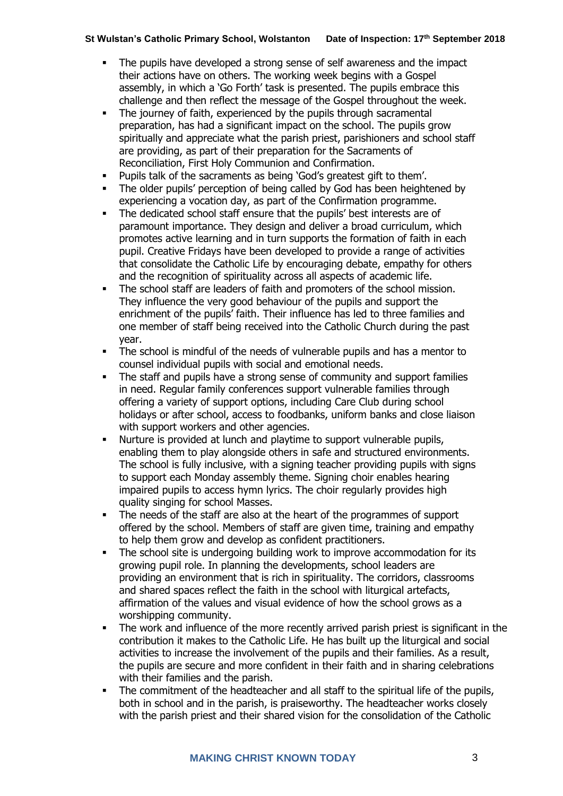- The pupils have developed a strong sense of self awareness and the impact their actions have on others. The working week begins with a Gospel assembly, in which a 'Go Forth' task is presented. The pupils embrace this challenge and then reflect the message of the Gospel throughout the week.
- The journey of faith, experienced by the pupils through sacramental preparation, has had a significant impact on the school. The pupils grow spiritually and appreciate what the parish priest, parishioners and school staff are providing, as part of their preparation for the Sacraments of Reconciliation, First Holy Communion and Confirmation.
- Pupils talk of the sacraments as being 'God's greatest gift to them'.
- The older pupils' perception of being called by God has been heightened by experiencing a vocation day, as part of the Confirmation programme.
- The dedicated school staff ensure that the pupils' best interests are of paramount importance. They design and deliver a broad curriculum, which promotes active learning and in turn supports the formation of faith in each pupil. Creative Fridays have been developed to provide a range of activities that consolidate the Catholic Life by encouraging debate, empathy for others and the recognition of spirituality across all aspects of academic life.
- The school staff are leaders of faith and promoters of the school mission. They influence the very good behaviour of the pupils and support the enrichment of the pupils' faith. Their influence has led to three families and one member of staff being received into the Catholic Church during the past year.
- The school is mindful of the needs of vulnerable pupils and has a mentor to counsel individual pupils with social and emotional needs.
- The staff and pupils have a strong sense of community and support families in need. Regular family conferences support vulnerable families through offering a variety of support options, including Care Club during school holidays or after school, access to foodbanks, uniform banks and close liaison with support workers and other agencies.
- Nurture is provided at lunch and playtime to support vulnerable pupils, enabling them to play alongside others in safe and structured environments. The school is fully inclusive, with a signing teacher providing pupils with signs to support each Monday assembly theme. Signing choir enables hearing impaired pupils to access hymn lyrics. The choir regularly provides high quality singing for school Masses.
- The needs of the staff are also at the heart of the programmes of support offered by the school. Members of staff are given time, training and empathy to help them grow and develop as confident practitioners.
- The school site is undergoing building work to improve accommodation for its growing pupil role. In planning the developments, school leaders are providing an environment that is rich in spirituality. The corridors, classrooms and shared spaces reflect the faith in the school with liturgical artefacts, affirmation of the values and visual evidence of how the school grows as a worshipping community.
- The work and influence of the more recently arrived parish priest is significant in the contribution it makes to the Catholic Life. He has built up the liturgical and social activities to increase the involvement of the pupils and their families. As a result, the pupils are secure and more confident in their faith and in sharing celebrations with their families and the parish.
- The commitment of the headteacher and all staff to the spiritual life of the pupils, both in school and in the parish, is praiseworthy. The headteacher works closely with the parish priest and their shared vision for the consolidation of the Catholic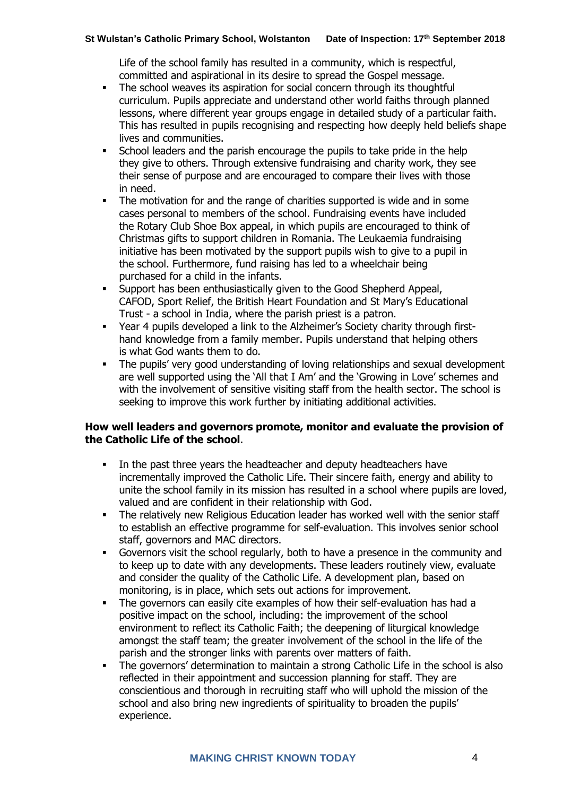Life of the school family has resulted in a community, which is respectful, committed and aspirational in its desire to spread the Gospel message.

- **•** The school weaves its aspiration for social concern through its thoughtful curriculum. Pupils appreciate and understand other world faiths through planned lessons, where different year groups engage in detailed study of a particular faith. This has resulted in pupils recognising and respecting how deeply held beliefs shape lives and communities.
- **•** School leaders and the parish encourage the pupils to take pride in the help they give to others. Through extensive fundraising and charity work, they see their sense of purpose and are encouraged to compare their lives with those in need.
- The motivation for and the range of charities supported is wide and in some cases personal to members of the school. Fundraising events have included the Rotary Club Shoe Box appeal, in which pupils are encouraged to think of Christmas gifts to support children in Romania. The Leukaemia fundraising initiative has been motivated by the support pupils wish to give to a pupil in the school. Furthermore, fund raising has led to a wheelchair being purchased for a child in the infants.
- Support has been enthusiastically given to the Good Shepherd Appeal, CAFOD, Sport Relief, the British Heart Foundation and St Mary's Educational Trust - a school in India, where the parish priest is a patron.
- Year 4 pupils developed a link to the Alzheimer's Society charity through firsthand knowledge from a family member. Pupils understand that helping others is what God wants them to do.
- The pupils' very good understanding of loving relationships and sexual development are well supported using the 'All that I Am' and the 'Growing in Love' schemes and with the involvement of sensitive visiting staff from the health sector. The school is seeking to improve this work further by initiating additional activities.

#### **How well leaders and governors promote, monitor and evaluate the provision of the Catholic Life of the school**.

- In the past three years the headteacher and deputy headteachers have incrementally improved the Catholic Life. Their sincere faith, energy and ability to unite the school family in its mission has resulted in a school where pupils are loved, valued and are confident in their relationship with God.
- The relatively new Religious Education leader has worked well with the senior staff to establish an effective programme for self-evaluation. This involves senior school staff, governors and MAC directors.
- Governors visit the school regularly, both to have a presence in the community and to keep up to date with any developments. These leaders routinely view, evaluate and consider the quality of the Catholic Life. A development plan, based on monitoring, is in place, which sets out actions for improvement.
- The governors can easily cite examples of how their self-evaluation has had a positive impact on the school, including: the improvement of the school environment to reflect its Catholic Faith; the deepening of liturgical knowledge amongst the staff team; the greater involvement of the school in the life of the parish and the stronger links with parents over matters of faith.
- The governors' determination to maintain a strong Catholic Life in the school is also reflected in their appointment and succession planning for staff. They are conscientious and thorough in recruiting staff who will uphold the mission of the school and also bring new ingredients of spirituality to broaden the pupils' experience.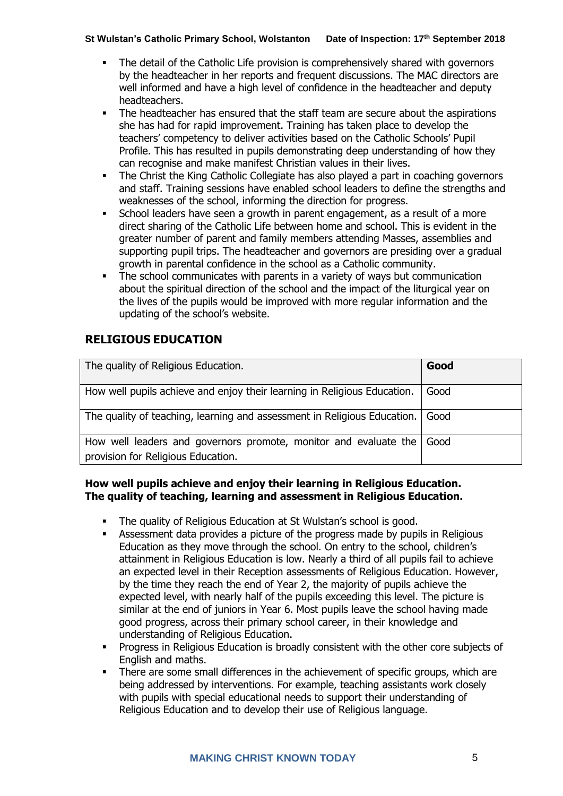- The detail of the Catholic Life provision is comprehensively shared with governors by the headteacher in her reports and frequent discussions. The MAC directors are well informed and have a high level of confidence in the headteacher and deputy headteachers.
- The headteacher has ensured that the staff team are secure about the aspirations she has had for rapid improvement. Training has taken place to develop the teachers' competency to deliver activities based on the Catholic Schools' Pupil Profile. This has resulted in pupils demonstrating deep understanding of how they can recognise and make manifest Christian values in their lives.
- **•** The Christ the King Catholic Collegiate has also played a part in coaching governors and staff. Training sessions have enabled school leaders to define the strengths and weaknesses of the school, informing the direction for progress.
- **EXECT** School leaders have seen a growth in parent engagement, as a result of a more direct sharing of the Catholic Life between home and school. This is evident in the greater number of parent and family members attending Masses, assemblies and supporting pupil trips. The headteacher and governors are presiding over a gradual growth in parental confidence in the school as a Catholic community.
- The school communicates with parents in a variety of ways but communication about the spiritual direction of the school and the impact of the liturgical year on the lives of the pupils would be improved with more regular information and the updating of the school's website.

# **RELIGIOUS EDUCATION**

| The quality of Religious Education.                                                                    | Good |
|--------------------------------------------------------------------------------------------------------|------|
| How well pupils achieve and enjoy their learning in Religious Education.                               | Good |
| The quality of teaching, learning and assessment in Religious Education.                               | Good |
| How well leaders and governors promote, monitor and evaluate the<br>provision for Religious Education. | Good |

#### **How well pupils achieve and enjoy their learning in Religious Education. The quality of teaching, learning and assessment in Religious Education.**

- The quality of Religious Education at St Wulstan's school is good.
- Assessment data provides a picture of the progress made by pupils in Religious Education as they move through the school. On entry to the school, children's attainment in Religious Education is low. Nearly a third of all pupils fail to achieve an expected level in their Reception assessments of Religious Education. However, by the time they reach the end of Year 2, the majority of pupils achieve the expected level, with nearly half of the pupils exceeding this level. The picture is similar at the end of juniors in Year 6. Most pupils leave the school having made good progress, across their primary school career, in their knowledge and understanding of Religious Education.
- Progress in Religious Education is broadly consistent with the other core subjects of English and maths.
- There are some small differences in the achievement of specific groups, which are being addressed by interventions. For example, teaching assistants work closely with pupils with special educational needs to support their understanding of Religious Education and to develop their use of Religious language.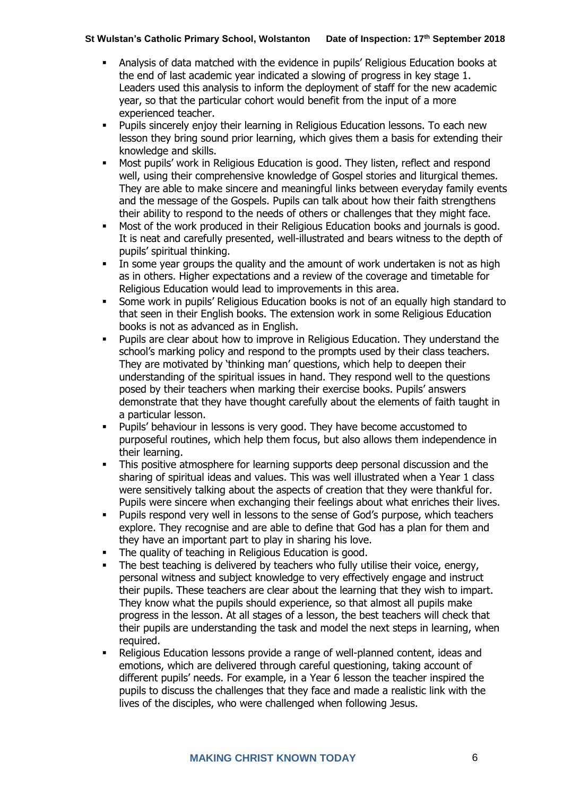- Analysis of data matched with the evidence in pupils' Religious Education books at the end of last academic year indicated a slowing of progress in key stage 1. Leaders used this analysis to inform the deployment of staff for the new academic year, so that the particular cohort would benefit from the input of a more experienced teacher.
- Pupils sincerely enjoy their learning in Religious Education lessons. To each new lesson they bring sound prior learning, which gives them a basis for extending their knowledge and skills.
- Most pupils' work in Religious Education is good. They listen, reflect and respond well, using their comprehensive knowledge of Gospel stories and liturgical themes. They are able to make sincere and meaningful links between everyday family events and the message of the Gospels. Pupils can talk about how their faith strengthens their ability to respond to the needs of others or challenges that they might face.
- Most of the work produced in their Religious Education books and journals is good. It is neat and carefully presented, well-illustrated and bears witness to the depth of pupils' spiritual thinking.
- **•** In some year groups the quality and the amount of work undertaken is not as high as in others. Higher expectations and a review of the coverage and timetable for Religious Education would lead to improvements in this area.
- **•** Some work in pupils' Religious Education books is not of an equally high standard to that seen in their English books. The extension work in some Religious Education books is not as advanced as in English.
- Pupils are clear about how to improve in Religious Education. They understand the school's marking policy and respond to the prompts used by their class teachers. They are motivated by 'thinking man' questions, which help to deepen their understanding of the spiritual issues in hand. They respond well to the questions posed by their teachers when marking their exercise books. Pupils' answers demonstrate that they have thought carefully about the elements of faith taught in a particular lesson.
- Pupils' behaviour in lessons is very good. They have become accustomed to purposeful routines, which help them focus, but also allows them independence in their learning.
- This positive atmosphere for learning supports deep personal discussion and the sharing of spiritual ideas and values. This was well illustrated when a Year 1 class were sensitively talking about the aspects of creation that they were thankful for. Pupils were sincere when exchanging their feelings about what enriches their lives.
- Pupils respond very well in lessons to the sense of God's purpose, which teachers explore. They recognise and are able to define that God has a plan for them and they have an important part to play in sharing his love.
- The quality of teaching in Religious Education is good.
- The best teaching is delivered by teachers who fully utilise their voice, energy, personal witness and subject knowledge to very effectively engage and instruct their pupils. These teachers are clear about the learning that they wish to impart. They know what the pupils should experience, so that almost all pupils make progress in the lesson. At all stages of a lesson, the best teachers will check that their pupils are understanding the task and model the next steps in learning, when required.
- Religious Education lessons provide a range of well-planned content, ideas and emotions, which are delivered through careful questioning, taking account of different pupils' needs. For example, in a Year 6 lesson the teacher inspired the pupils to discuss the challenges that they face and made a realistic link with the lives of the disciples, who were challenged when following Jesus.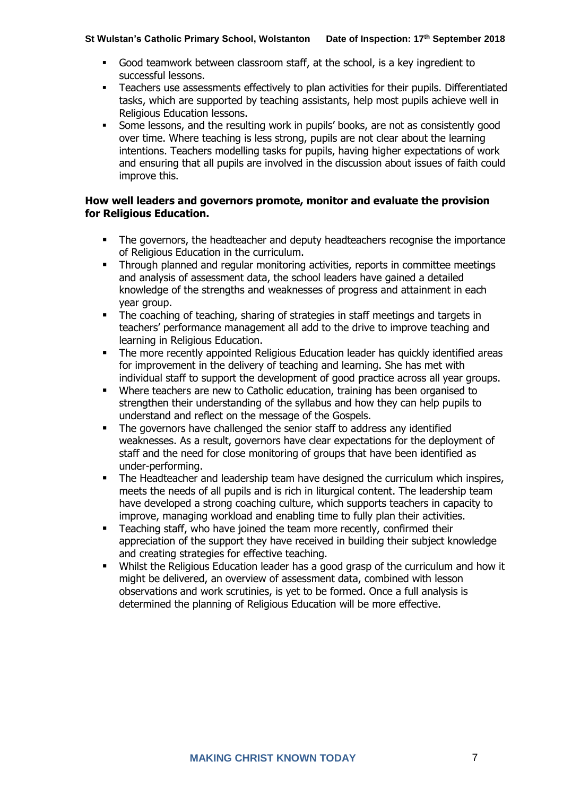- Good teamwork between classroom staff, at the school, is a key ingredient to successful lessons.
- Teachers use assessments effectively to plan activities for their pupils. Differentiated tasks, which are supported by teaching assistants, help most pupils achieve well in Religious Education lessons.
- Some lessons, and the resulting work in pupils' books, are not as consistently good over time. Where teaching is less strong, pupils are not clear about the learning intentions. Teachers modelling tasks for pupils, having higher expectations of work and ensuring that all pupils are involved in the discussion about issues of faith could improve this.

#### **How well leaders and governors promote, monitor and evaluate the provision for Religious Education.**

- The governors, the headteacher and deputy headteachers recognise the importance of Religious Education in the curriculum.
- Through planned and regular monitoring activities, reports in committee meetings and analysis of assessment data, the school leaders have gained a detailed knowledge of the strengths and weaknesses of progress and attainment in each year group.
- The coaching of teaching, sharing of strategies in staff meetings and targets in teachers' performance management all add to the drive to improve teaching and learning in Religious Education.
- The more recently appointed Religious Education leader has quickly identified areas for improvement in the delivery of teaching and learning. She has met with individual staff to support the development of good practice across all year groups.
- Where teachers are new to Catholic education, training has been organised to strengthen their understanding of the syllabus and how they can help pupils to understand and reflect on the message of the Gospels.
- The governors have challenged the senior staff to address any identified weaknesses. As a result, governors have clear expectations for the deployment of staff and the need for close monitoring of groups that have been identified as under-performing.
- The Headteacher and leadership team have designed the curriculum which inspires, meets the needs of all pupils and is rich in liturgical content. The leadership team have developed a strong coaching culture, which supports teachers in capacity to improve, managing workload and enabling time to fully plan their activities.
- Teaching staff, who have joined the team more recently, confirmed their appreciation of the support they have received in building their subject knowledge and creating strategies for effective teaching.
- Whilst the Religious Education leader has a good grasp of the curriculum and how it might be delivered, an overview of assessment data, combined with lesson observations and work scrutinies, is yet to be formed. Once a full analysis is determined the planning of Religious Education will be more effective.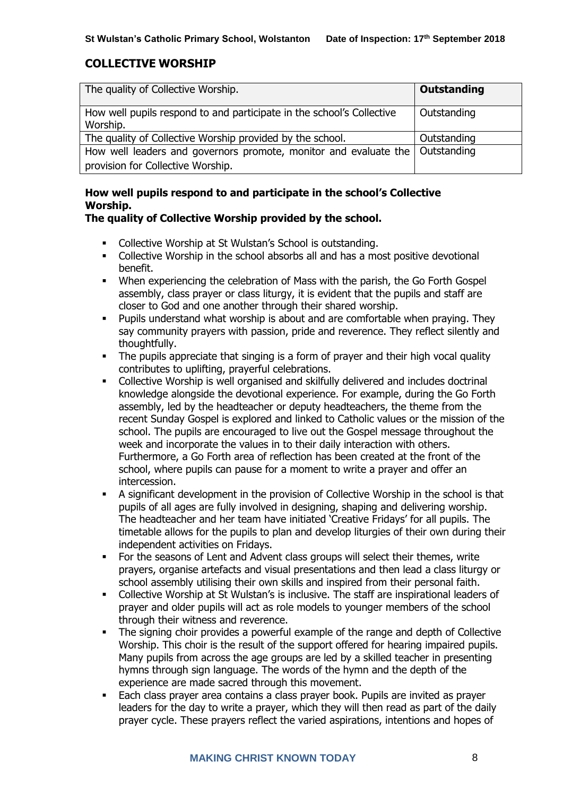# **COLLECTIVE WORSHIP**

| The quality of Collective Worship.                                                | <b>Outstanding</b> |
|-----------------------------------------------------------------------------------|--------------------|
| How well pupils respond to and participate in the school's Collective<br>Worship. | Outstanding        |
| The quality of Collective Worship provided by the school.                         | Outstanding        |
| How well leaders and governors promote, monitor and evaluate the   Outstanding    |                    |
| provision for Collective Worship.                                                 |                    |

# **How well pupils respond to and participate in the school's Collective Worship.**

# **The quality of Collective Worship provided by the school.**

- Collective Worship at St Wulstan's School is outstanding.
- Collective Worship in the school absorbs all and has a most positive devotional benefit.
- When experiencing the celebration of Mass with the parish, the Go Forth Gospel assembly, class prayer or class liturgy, it is evident that the pupils and staff are closer to God and one another through their shared worship.
- Pupils understand what worship is about and are comfortable when praying. They say community prayers with passion, pride and reverence. They reflect silently and thoughtfully.
- **•** The pupils appreciate that singing is a form of prayer and their high vocal quality contributes to uplifting, prayerful celebrations.
- Collective Worship is well organised and skilfully delivered and includes doctrinal knowledge alongside the devotional experience. For example, during the Go Forth assembly, led by the headteacher or deputy headteachers, the theme from the recent Sunday Gospel is explored and linked to Catholic values or the mission of the school. The pupils are encouraged to live out the Gospel message throughout the week and incorporate the values in to their daily interaction with others. Furthermore, a Go Forth area of reflection has been created at the front of the school, where pupils can pause for a moment to write a prayer and offer an intercession.
- A significant development in the provision of Collective Worship in the school is that pupils of all ages are fully involved in designing, shaping and delivering worship. The headteacher and her team have initiated 'Creative Fridays' for all pupils. The timetable allows for the pupils to plan and develop liturgies of their own during their independent activities on Fridays.
- For the seasons of Lent and Advent class groups will select their themes, write prayers, organise artefacts and visual presentations and then lead a class liturgy or school assembly utilising their own skills and inspired from their personal faith.
- Collective Worship at St Wulstan's is inclusive. The staff are inspirational leaders of prayer and older pupils will act as role models to younger members of the school through their witness and reverence.
- The signing choir provides a powerful example of the range and depth of Collective Worship. This choir is the result of the support offered for hearing impaired pupils. Many pupils from across the age groups are led by a skilled teacher in presenting hymns through sign language. The words of the hymn and the depth of the experience are made sacred through this movement.
- Each class prayer area contains a class prayer book. Pupils are invited as prayer leaders for the day to write a prayer, which they will then read as part of the daily prayer cycle. These prayers reflect the varied aspirations, intentions and hopes of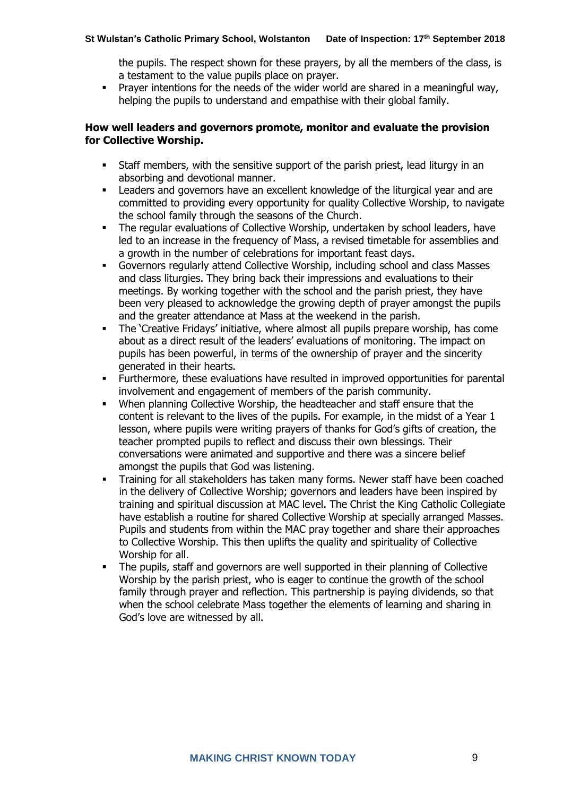the pupils. The respect shown for these prayers, by all the members of the class, is a testament to the value pupils place on prayer.

**•** Prayer intentions for the needs of the wider world are shared in a meaningful way, helping the pupils to understand and empathise with their global family.

#### **How well leaders and governors promote, monitor and evaluate the provision for Collective Worship.**

- Staff members, with the sensitive support of the parish priest, lead liturgy in an absorbing and devotional manner.
- Leaders and governors have an excellent knowledge of the liturgical year and are committed to providing every opportunity for quality Collective Worship, to navigate the school family through the seasons of the Church.
- **•** The regular evaluations of Collective Worship, undertaken by school leaders, have led to an increase in the frequency of Mass, a revised timetable for assemblies and a growth in the number of celebrations for important feast days.
- Governors regularly attend Collective Worship, including school and class Masses and class liturgies. They bring back their impressions and evaluations to their meetings. By working together with the school and the parish priest, they have been very pleased to acknowledge the growing depth of prayer amongst the pupils and the greater attendance at Mass at the weekend in the parish.
- The 'Creative Fridays' initiative, where almost all pupils prepare worship, has come about as a direct result of the leaders' evaluations of monitoring. The impact on pupils has been powerful, in terms of the ownership of prayer and the sincerity generated in their hearts.
- Furthermore, these evaluations have resulted in improved opportunities for parental involvement and engagement of members of the parish community.
- When planning Collective Worship, the headteacher and staff ensure that the content is relevant to the lives of the pupils. For example, in the midst of a Year 1 lesson, where pupils were writing prayers of thanks for God's gifts of creation, the teacher prompted pupils to reflect and discuss their own blessings. Their conversations were animated and supportive and there was a sincere belief amongst the pupils that God was listening.
- Training for all stakeholders has taken many forms. Newer staff have been coached in the delivery of Collective Worship; governors and leaders have been inspired by training and spiritual discussion at MAC level. The Christ the King Catholic Collegiate have establish a routine for shared Collective Worship at specially arranged Masses. Pupils and students from within the MAC pray together and share their approaches to Collective Worship. This then uplifts the quality and spirituality of Collective Worship for all.
- **•** The pupils, staff and governors are well supported in their planning of Collective Worship by the parish priest, who is eager to continue the growth of the school family through prayer and reflection. This partnership is paying dividends, so that when the school celebrate Mass together the elements of learning and sharing in God's love are witnessed by all.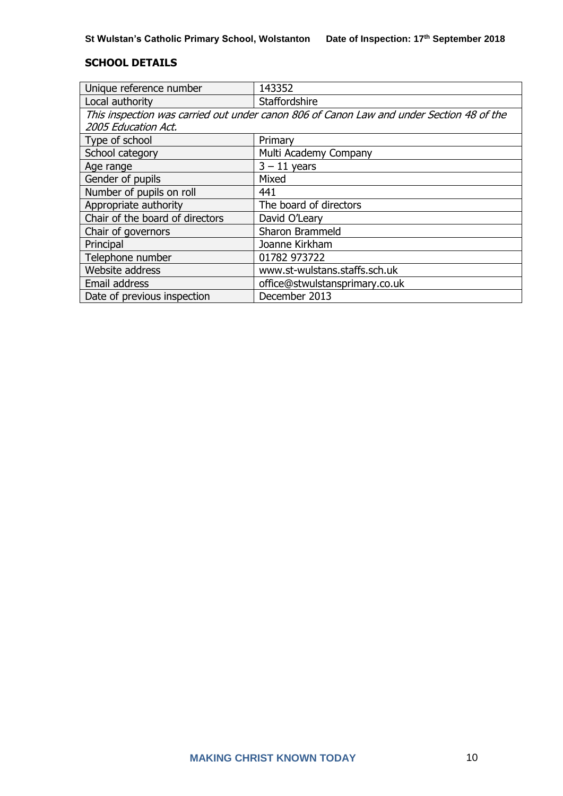#### **SCHOOL DETAILS**

| Unique reference number                                                                  | 143352                         |  |
|------------------------------------------------------------------------------------------|--------------------------------|--|
| Local authority                                                                          | Staffordshire                  |  |
| This inspection was carried out under canon 806 of Canon Law and under Section 48 of the |                                |  |
| 2005 Education Act.                                                                      |                                |  |
| Type of school                                                                           | Primary                        |  |
| School category                                                                          | Multi Academy Company          |  |
| Age range                                                                                | $3 - 11$ years                 |  |
| Gender of pupils                                                                         | Mixed                          |  |
| Number of pupils on roll                                                                 | 441                            |  |
| Appropriate authority                                                                    | The board of directors         |  |
| Chair of the board of directors                                                          | David O'Leary                  |  |
| Chair of governors                                                                       | Sharon Brammeld                |  |
| Principal                                                                                | Joanne Kirkham                 |  |
| Telephone number                                                                         | 01782 973722                   |  |
| Website address                                                                          | www.st-wulstans.staffs.sch.uk  |  |
| Email address                                                                            | office@stwulstansprimary.co.uk |  |
| Date of previous inspection                                                              | December 2013                  |  |